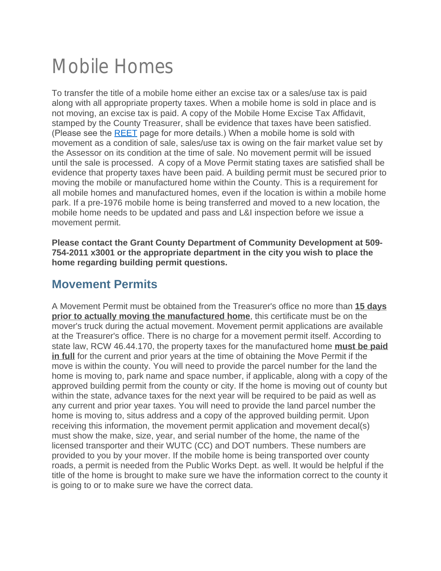# Mobile Homes

To transfer the title of a mobile home either an excise tax or a sales/use tax is paid along with all appropriate property taxes. When a mobile home is sold in place and is not moving, an excise tax is paid. A copy of the Mobile Home Excise Tax Affidavit, stamped by the County Treasurer, shall be evidence that taxes have been satisfied. (Please see the [REET](https://www.kitsapgov.com/treas/Pages/REET.aspx) page for more details.) When a mobile home is sold with movement as a condition of sale, sales/use tax is owing on the fair market value set by the Assessor on its condition at the time of sale. No movement permit will be issued until the sale is processed. A copy of a Move Permit stating taxes are satisfied shall be evidence that property taxes have been paid. A building permit must be secured prior to moving the mobile or manufactured home within the County. This is a requirement for all mobile homes and manufactured homes, even if the location is within a mobile home park. If a pre-1976 mobile home is being transferred and moved to a new location, the mobile home needs to be updated and pass and L&I inspection before we issue a movement permit.

**Please contact the Grant County Department of Community Development at 509- 754-2011 x3001 or the appropriate department in the city you wish to place the home regarding building permit questions.**

## **Movement Permits**

A Movement Permit must be obtained from the Treasurer's office no more than **15 days prior to actually moving the manufactured home**, this certificate must be on the mover's truck during the actual movement. Movement permit applications are available at the Treasurer's office. There is no charge for a movement permit itself. According to state law, RCW 46.44.170, the property taxes for the manufactured home **must be paid in full** for the current and prior years at the time of obtaining the Move Permit if the move is within the county. You will need to provide the parcel number for the land the home is moving to, park name and space number, if applicable, along with a copy of the approved building permit from the county or city. If the home is moving out of county but within the state, advance taxes for the next year will be required to be paid as well as any current and prior year taxes. You will need to provide the land parcel number the home is moving to, situs address and a copy of the approved building permit. Upon receiving this information, the movement permit application and movement decal(s) must show the make, size, year, and serial number of the home, the name of the licensed transporter and their WUTC (CC) and DOT numbers. These numbers are provided to you by your mover. If the mobile home is being transported over county roads, a permit is needed from the Public Works Dept. as well. It would be helpful if the title of the home is brought to make sure we have the information correct to the county it is going to or to make sure we have the correct data.